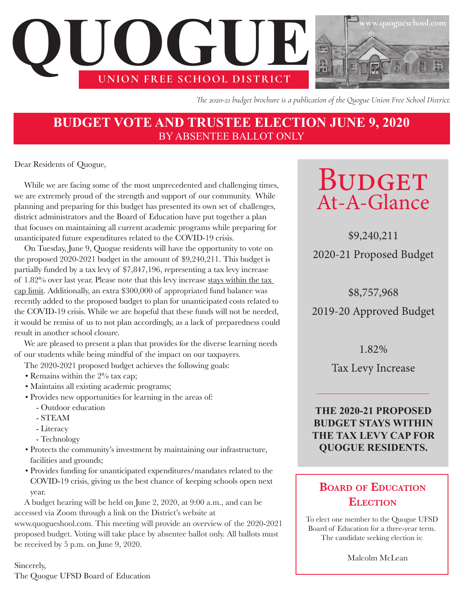

*The 2020-21 budget brochure is a publication of the Quogue Union Free School District.* 

## **BUDGET VOTE AND TRUSTEE ELECTION JUNE 9, 2020** BY ABSENTEE BALLOT ONLY

Dear Residents of Quogue,

While we are facing some of the most unprecedented and challenging times, we are extremely proud of the strength and support of our community. While planning and preparing for this budget has presented its own set of challenges, district administrators and the Board of Education have put together a plan that focuses on maintaining all current academic programs while preparing for unanticipated future expenditures related to the COVID-19 crisis.

On Tuesday, June 9, Quogue residents will have the opportunity to vote on the proposed 2020-2021 budget in the amount of \$9,240,211. This budget is partially funded by a tax levy of \$7,847,196, representing a tax levy increase of 1.82% over last year. Please note that this levy increase stays within the tax cap limit. Additionally, an extra \$300,000 of appropriated fund balance was recently added to the proposed budget to plan for unanticipated costs related to the COVID-19 crisis. While we are hopeful that these funds will not be needed, it would be remiss of us to not plan accordingly, as a lack of preparedness could result in another school closure.

We are pleased to present a plan that provides for the diverse learning needs of our students while being mindful of the impact on our taxpayers.

The 2020-2021 proposed budget achieves the following goals:

- Remains within the 2% tax cap;
- Maintains all existing academic programs;
- Provides new opportunities for learning in the areas of:
	- Outdoor education
	- STEAM
	- Literacy
	- Technology
- Protects the community's investment by maintaining our infrastructure, facilities and grounds;
- Provides funding for unanticipated expenditures/mandates related to the COVID-19 crisis, giving us the best chance of keeping schools open next year.

A budget hearing will be held on June 2, 2020, at 9:00 a.m., and can be accessed via Zoom through a link on the District's website at www.quogueshool.com. This meeting will provide an overview of the 2020-2021 proposed budget. Voting will take place by absentee ballot only. All ballots must be received by 5 p.m. on June 9, 2020.

Sincerely, The Quogue UFSD Board of Education

# **BUDGET** At-A-Glance

\$9,240,211 2020-21 Proposed Budget

\$8,757,968

2019-20 Approved Budget

1.82%

Tax Levy Increase

**THE 2020-21 PROPOSED BUDGET STAYS WITHIN THE TAX LEVY CAP FOR QUOGUE RESIDENTS.** 

## **Board of Education Election**

To elect one member to the Quogue UFSD Board of Education for a three-year term. The candidate seeking election is:

Malcolm McLean